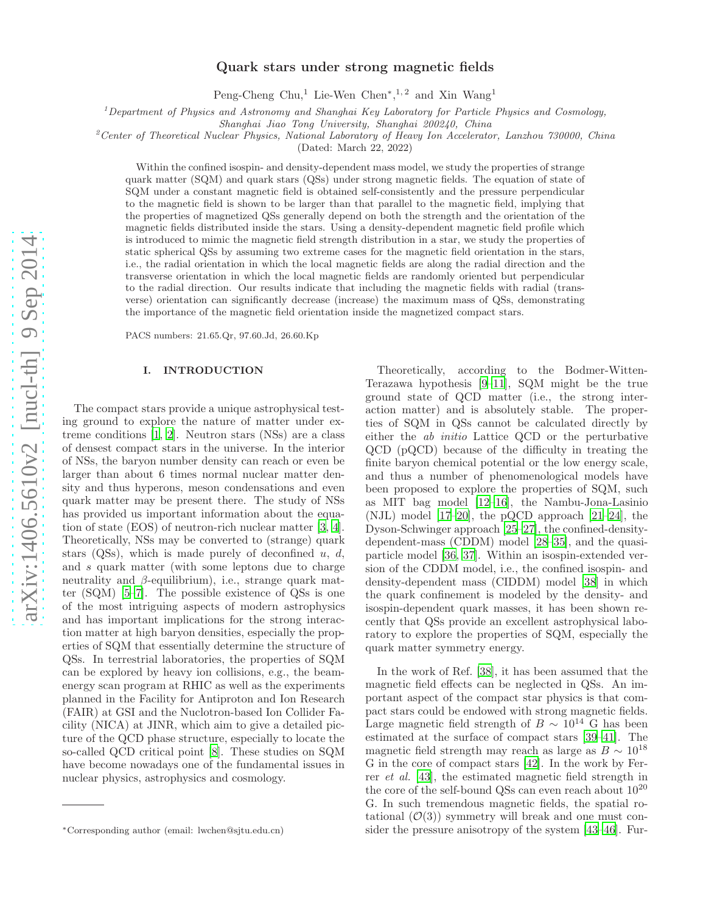# Quark stars under strong magnetic fields

Peng-Cheng Chu,<sup>1</sup> Lie-Wen Chen<sup>\*</sup>,<sup>1,2</sup> and Xin Wang<sup>1</sup>

<sup>1</sup>Department of Physics and Astronomy and Shanghai Key Laboratory for Particle Physics and Cosmology,

Shanghai Jiao Tong University, Shanghai 200240, China

 $^{2}$ Center of Theoretical Nuclear Physics, National Laboratory of Heavy Ion Accelerator, Lanzhou 730000, China

(Dated: March 22, 2022)

Within the confined isospin- and density-dependent mass model, we study the properties of strange quark matter (SQM) and quark stars (QSs) under strong magnetic fields. The equation of state of SQM under a constant magnetic field is obtained self-consistently and the pressure perpendicular to the magnetic field is shown to be larger than that parallel to the magnetic field, implying that the properties of magnetized QSs generally depend on both the strength and the orientation of the magnetic fields distributed inside the stars. Using a density-dependent magnetic field profile which is introduced to mimic the magnetic field strength distribution in a star, we study the properties of static spherical QSs by assuming two extreme cases for the magnetic field orientation in the stars, i.e., the radial orientation in which the local magnetic fields are along the radial direction and the transverse orientation in which the local magnetic fields are randomly oriented but perpendicular to the radial direction. Our results indicate that including the magnetic fields with radial (transverse) orientation can significantly decrease (increase) the maximum mass of QSs, demonstrating the importance of the magnetic field orientation inside the magnetized compact stars.

PACS numbers: 21.65.Qr, 97.60.Jd, 26.60.Kp

#### I. INTRODUCTION

The compact stars provide a unique astrophysical testing ground to explore the nature of matter under extreme conditions [\[1](#page-7-0), [2\]](#page-7-1). Neutron stars (NSs) are a class of densest compact stars in the universe. In the interior of NSs, the baryon number density can reach or even be larger than about 6 times normal nuclear matter density and thus hyperons, meson condensations and even quark matter may be present there. The study of NSs has provided us important information about the equation of state (EOS) of neutron-rich nuclear matter [\[3,](#page-7-2) [4\]](#page-7-3). Theoretically, NSs may be converted to (strange) quark stars (QSs), which is made purely of deconfined  $u, d$ , and s quark matter (with some leptons due to charge neutrality and  $\beta$ -equilibrium), i.e., strange quark matter (SQM) [\[5](#page-7-4)[–7\]](#page-7-5). The possible existence of QSs is one of the most intriguing aspects of modern astrophysics and has important implications for the strong interaction matter at high baryon densities, especially the properties of SQM that essentially determine the structure of QSs. In terrestrial laboratories, the properties of SQM can be explored by heavy ion collisions, e.g., the beamenergy scan program at RHIC as well as the experiments planned in the Facility for Antiproton and Ion Research (FAIR) at GSI and the Nuclotron-based Ion Collider Facility (NICA) at JINR, which aim to give a detailed picture of the QCD phase structure, especially to locate the so-called QCD critical point [\[8\]](#page-7-6). These studies on SQM have become nowadays one of the fundamental issues in nuclear physics, astrophysics and cosmology.

Theoretically, according to the Bodmer-Witten-Terazawa hypothesis [\[9](#page-7-7)[–11\]](#page-7-8), SQM might be the true ground state of QCD matter (i.e., the strong interaction matter) and is absolutely stable. The properties of SQM in QSs cannot be calculated directly by either the ab initio Lattice QCD or the perturbative QCD (pQCD) because of the difficulty in treating the finite baryon chemical potential or the low energy scale, and thus a number of phenomenological models have been proposed to explore the properties of SQM, such as MIT bag model [\[12](#page-7-9)[–16\]](#page-7-10), the Nambu-Jona-Lasinio (NJL) model [\[17](#page-7-11)[–20](#page-7-12)], the pQCD approach [\[21](#page-7-13)[–24](#page-8-0)], the Dyson-Schwinger approach [\[25](#page-8-1)[–27\]](#page-8-2), the confined-densitydependent-mass (CDDM) model [\[28](#page-8-3)[–35](#page-8-4)], and the quasiparticle model [\[36,](#page-8-5) [37\]](#page-8-6). Within an isospin-extended version of the CDDM model, i.e., the confined isospin- and density-dependent mass (CIDDM) model [\[38\]](#page-8-7) in which the quark confinement is modeled by the density- and isospin-dependent quark masses, it has been shown recently that QSs provide an excellent astrophysical laboratory to explore the properties of SQM, especially the quark matter symmetry energy.

In the work of Ref. [\[38](#page-8-7)], it has been assumed that the magnetic field effects can be neglected in QSs. An important aspect of the compact star physics is that compact stars could be endowed with strong magnetic fields. Large magnetic field strength of  $B \sim 10^{14}$  G has been estimated at the surface of compact stars [\[39](#page-8-8)[–41\]](#page-8-9). The magnetic field strength may reach as large as  $B \sim 10^{18}$ G in the core of compact stars [\[42\]](#page-8-10). In the work by Ferrer et al. [\[43](#page-8-11)], the estimated magnetic field strength in the core of the self-bound QSs can even reach about  $10^{20}$ G. In such tremendous magnetic fields, the spatial rotational  $(\mathcal{O}(3))$  symmetry will break and one must consider the pressure anisotropy of the system [\[43](#page-8-11)[–46\]](#page-8-12). Fur-

<sup>∗</sup>Corresponding author (email: lwchen@sjtu.edu.cn)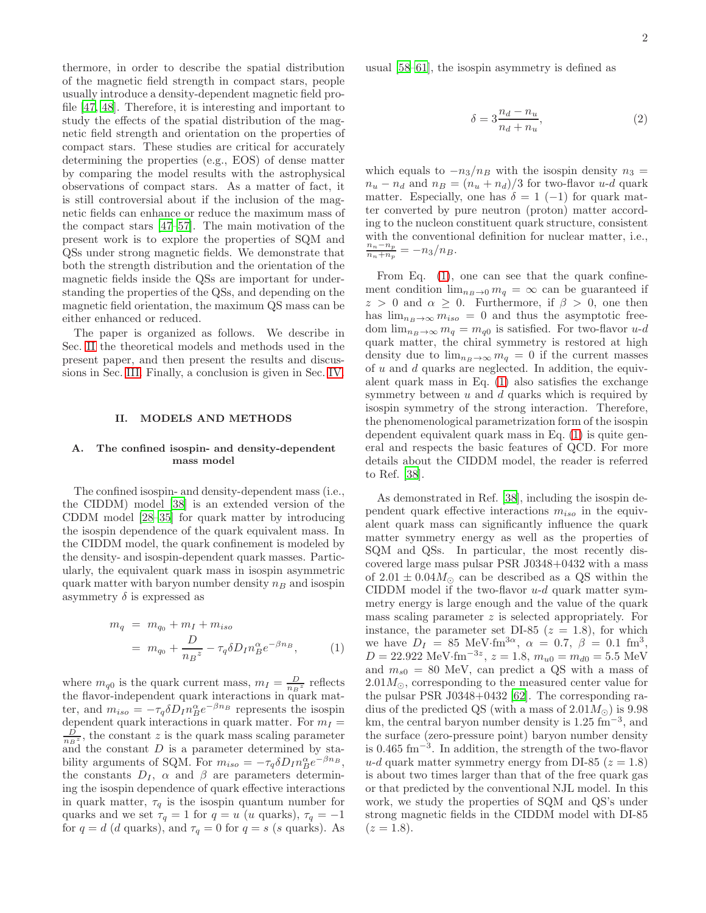thermore, in order to describe the spatial distribution of the magnetic field strength in compact stars, people usually introduce a density-dependent magnetic field profile [\[47,](#page-8-13) [48](#page-8-14)]. Therefore, it is interesting and important to study the effects of the spatial distribution of the magnetic field strength and orientation on the properties of compact stars. These studies are critical for accurately determining the properties (e.g., EOS) of dense matter by comparing the model results with the astrophysical observations of compact stars. As a matter of fact, it is still controversial about if the inclusion of the magnetic fields can enhance or reduce the maximum mass of the compact stars [\[47](#page-8-13)[–57\]](#page-8-15). The main motivation of the present work is to explore the properties of SQM and QSs under strong magnetic fields. We demonstrate that both the strength distribution and the orientation of the magnetic fields inside the QSs are important for understanding the properties of the QSs, and depending on the magnetic field orientation, the maximum QS mass can be either enhanced or reduced.

The paper is organized as follows. We describe in Sec. [II](#page-1-0) the theoretical models and methods used in the present paper, and then present the results and discussions in Sec. [III.](#page-4-0) Finally, a conclusion is given in Sec. [IV.](#page-7-14)

# <span id="page-1-0"></span>II. MODELS AND METHODS

# A. The confined isospin- and density-dependent mass model

The confined isospin- and density-dependent mass (i.e., the CIDDM) model [\[38\]](#page-8-7) is an extended version of the CDDM model [\[28](#page-8-3)[–35](#page-8-4)] for quark matter by introducing the isospin dependence of the quark equivalent mass. In the CIDDM model, the quark confinement is modeled by the density- and isospin-dependent quark masses. Particularly, the equivalent quark mass in isospin asymmetric quark matter with baryon number density  $n_B$  and isospin asymmetry  $\delta$  is expressed as

<span id="page-1-1"></span>
$$
m_q = m_{q_0} + m_I + m_{iso}
$$
  
=  $m_{q_0} + \frac{D}{n_B z} - \tau_q \delta D_I n_B^{\alpha} e^{-\beta n_B},$  (1)

where  $m_{q0}$  is the quark current mass,  $m_I = \frac{D}{n_B z}$  reflects the flavor-independent quark interactions in quark matter, and  $m_{iso} = -\tau_q \delta D_I n_B^{\alpha} e^{-\beta n_B}$  represents the isospin dependent quark interactions in quark matter. For  $m_I =$  $\frac{D}{n_B^2}$ , the constant z is the quark mass scaling parameter and the constant  $D$  is a parameter determined by stability arguments of SQM. For  $m_{iso} = -\tau_q \delta D_I n_B^{\alpha} e^{-\beta n_B}$ , the constants  $D_I$ ,  $\alpha$  and  $\beta$  are parameters determining the isospin dependence of quark effective interactions in quark matter,  $\tau_q$  is the isospin quantum number for quarks and we set  $\tau_q = 1$  for  $q = u$  (u quarks),  $\tau_q = -1$ for  $q = d$  (d quarks), and  $\tau_q = 0$  for  $q = s$  (s quarks). As

usual [\[58](#page-8-16)[–61\]](#page-8-17), the isospin asymmetry is defined as

$$
\delta = 3 \frac{n_d - n_u}{n_d + n_u},\tag{2}
$$

which equals to  $-n_3/n_B$  with the isospin density  $n_3 =$  $n_u - n_d$  and  $n_B = (n_u + n_d)/3$  for two-flavor u-d quark matter. Especially, one has  $\delta = 1$  (−1) for quark matter converted by pure neutron (proton) matter according to the nucleon constituent quark structure, consistent with the conventional definition for nuclear matter, i.e.,  $n_n-n_p$  $\frac{n_n - n_p}{n_n + n_p} = -n_3/n_B.$ 

From Eq.  $(1)$ , one can see that the quark confinement condition  $\lim_{n_B\to 0} m_q = \infty$  can be guaranteed if  $z > 0$  and  $\alpha \geq 0$ . Furthermore, if  $\beta > 0$ , one then has  $\lim_{n_B\to\infty}m_{iso} = 0$  and thus the asymptotic freedom  $\lim_{n_B\to\infty}m_q = m_{q0}$  is satisfied. For two-flavor u-d quark matter, the chiral symmetry is restored at high density due to  $\lim_{n_B\to\infty}m_q = 0$  if the current masses of  $u$  and  $d$  quarks are neglected. In addition, the equivalent quark mass in Eq. [\(1\)](#page-1-1) also satisfies the exchange symmetry between  $u$  and  $d$  quarks which is required by isospin symmetry of the strong interaction. Therefore, the phenomenological parametrization form of the isospin dependent equivalent quark mass in Eq. [\(1\)](#page-1-1) is quite general and respects the basic features of QCD. For more details about the CIDDM model, the reader is referred to Ref. [\[38\]](#page-8-7).

As demonstrated in Ref. [\[38](#page-8-7)], including the isospin dependent quark effective interactions  $m_{iso}$  in the equivalent quark mass can significantly influence the quark matter symmetry energy as well as the properties of SQM and QSs. In particular, the most recently discovered large mass pulsar PSR J0348+0432 with a mass of  $2.01 \pm 0.04 M_{\odot}$  can be described as a QS within the CIDDM model if the two-flavor  $u-d$  quark matter symmetry energy is large enough and the value of the quark mass scaling parameter z is selected appropriately. For instance, the parameter set DI-85 ( $z = 1.8$ ), for which we have  $D_I = 85 \text{ MeV} \cdot \text{fm}^{3\alpha}, \ \alpha = 0.7, \ \beta = 0.1 \text{ fm}^3,$  $D = 22.922 \text{ MeV} \cdot \text{fm}^{-3z}, z = 1.8, m_{u0} = m_{d0} = 5.5 \text{ MeV}$ and  $m_{s0} = 80$  MeV, can predict a QS with a mass of  $2.01M_{\odot}$ , corresponding to the measured center value for the pulsar PSR J0348+0432 [\[62\]](#page-8-18). The corresponding radius of the predicted QS (with a mass of  $2.01M_{\odot}$ ) is 9.98 km, the central baryon number density is 1.25 fm−<sup>3</sup> , and the surface (zero-pressure point) baryon number density is  $0.465 \text{ fm}^{-3}$ . In addition, the strength of the two-flavor u-d quark matter symmetry energy from DI-85 ( $z = 1.8$ ) is about two times larger than that of the free quark gas or that predicted by the conventional NJL model. In this work, we study the properties of SQM and QS's under strong magnetic fields in the CIDDM model with DI-85  $(z=1.8).$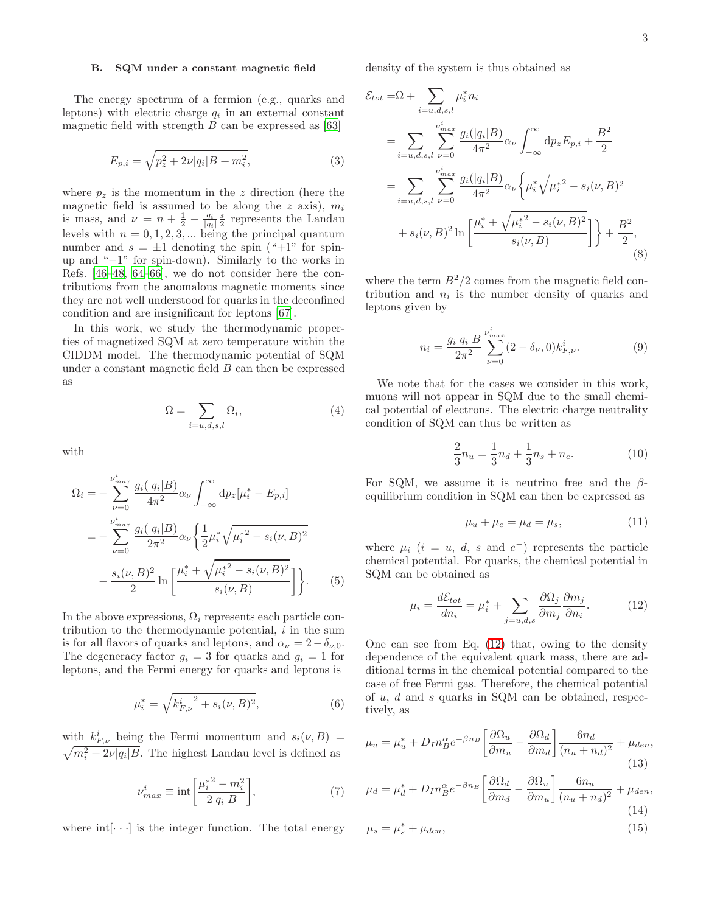#### B. SQM under a constant magnetic field

The energy spectrum of a fermion (e.g., quarks and leptons) with electric charge  $q_i$  in an external constant magnetic field with strength  $B$  can be expressed as [\[63](#page-8-19)]

$$
E_{p,i} = \sqrt{p_z^2 + 2\nu|q_i|B + m_i^2},\tag{3}
$$

where  $p_z$  is the momentum in the z direction (here the magnetic field is assumed to be along the z axis),  $m_i$ is mass, and  $\nu = n + \frac{1}{2} - \frac{q_i}{|q_i|^2}$  represents the Landau levels with  $n = 0, 1, 2, 3, \dots$  being the principal quantum number and  $s = \pm 1$  denoting the spin ("+1" for spinup and "−1" for spin-down). Similarly to the works in Refs. [\[46](#page-8-12)[–48,](#page-8-14) [64](#page-8-20)[–66\]](#page-8-21), we do not consider here the contributions from the anomalous magnetic moments since they are not well understood for quarks in the deconfined condition and are insignificant for leptons [\[67\]](#page-8-22).

In this work, we study the thermodynamic properties of magnetized SQM at zero temperature within the CIDDM model. The thermodynamic potential of SQM under a constant magnetic field  $B$  can then be expressed as

$$
\Omega = \sum_{i=u,d,s,l} \Omega_i,\tag{4}
$$

with

$$
\Omega_{i} = -\sum_{\nu=0}^{\nu_{max}^{i}} \frac{g_{i}(|q_{i}|B)}{4\pi^{2}} \alpha_{\nu} \int_{-\infty}^{\infty} dp_{z}[\mu_{i}^{*} - E_{p,i}]
$$
  

$$
= -\sum_{\nu=0}^{\nu_{max}^{i}} \frac{g_{i}(|q_{i}|B)}{2\pi^{2}} \alpha_{\nu} \left\{ \frac{1}{2} \mu_{i}^{*} \sqrt{\mu_{i}^{*2} - s_{i}(\nu, B)^{2}} - \frac{s_{i}(\nu, B)^{2}}{2} \ln \left[ \frac{\mu_{i}^{*} + \sqrt{\mu_{i}^{*2} - s_{i}(\nu, B)^{2}}}{s_{i}(\nu, B)} \right] \right\}.
$$
 (5)

In the above expressions,  $\Omega_i$  represents each particle contribution to the thermodynamic potential,  $i$  in the sum is for all flavors of quarks and leptons, and  $\alpha_{\nu} = 2 - \delta_{\nu,0}$ . The degeneracy factor  $g_i = 3$  for quarks and  $g_i = 1$  for leptons, and the Fermi energy for quarks and leptons is

$$
\mu_i^* = \sqrt{k_{F,\nu}^i{}^2 + s_i(\nu, B)^2},\tag{6}
$$

with  $k_{F,\nu}^i$  being the Fermi momentum and  $s_i(\nu, B)$  =  $\sqrt{m_i^2 + 2\nu |q_i|B}$ . The highest Landau level is defined as

$$
\nu_{max}^i \equiv \text{int}\bigg[\frac{\mu_i^{*2} - m_i^2}{2|q_i|B}\bigg],\tag{7}
$$

where  $int[\cdot \cdot \cdot]$  is the integer function. The total energy

density of the system is thus obtained as

$$
\mathcal{E}_{tot} = \Omega + \sum_{i=u,d,s,l} \mu_i^* n_i
$$
  
= 
$$
\sum_{i=u,d,s,l} \sum_{\nu=0}^{\nu_{max}^i} \frac{g_i(|q_i|B)}{4\pi^2} \alpha_\nu \int_{-\infty}^\infty dp_z E_{p,i} + \frac{B^2}{2}
$$
  
= 
$$
\sum_{i=u,d,s,l} \sum_{\nu=0}^{\nu_{max}^i} \frac{g_i(|q_i|B)}{4\pi^2} \alpha_\nu \left\{ \mu_i^* \sqrt{\mu_i^*^2 - s_i(\nu, B)^2} + s_i(\nu, B)^2 \ln \left[ \frac{\mu_i^* + \sqrt{\mu_i^*^2 - s_i(\nu, B)^2}}{s_i(\nu, B)} \right] \right\} + \frac{B^2}{2},
$$
(8)

where the term  $B^2/2$  comes from the magnetic field contribution and  $n_i$  is the number density of quarks and leptons given by

$$
n_i = \frac{g_i|q_i|B}{2\pi^2} \sum_{\nu=0}^{\nu_{max}^i} (2 - \delta_{\nu}, 0) k_{F,\nu}^i.
$$
 (9)

We note that for the cases we consider in this work, muons will not appear in SQM due to the small chemical potential of electrons. The electric charge neutrality condition of SQM can thus be written as

$$
\frac{2}{3}n_u = \frac{1}{3}n_d + \frac{1}{3}n_s + n_e.
$$
 (10)

For SQM, we assume it is neutrino free and the  $\beta$ equilibrium condition in SQM can then be expressed as

$$
\mu_u + \mu_e = \mu_d = \mu_s,\tag{11}
$$

where  $\mu_i$  (i = u, d, s and e<sup>-</sup>) represents the particle chemical potential. For quarks, the chemical potential in SQM can be obtained as

<span id="page-2-0"></span>
$$
\mu_i = \frac{d\mathcal{E}_{tot}}{dn_i} = \mu_i^* + \sum_{j=u,d,s} \frac{\partial \Omega_j}{\partial m_j} \frac{\partial m_j}{\partial n_i}.
$$
 (12)

One can see from Eq. [\(12\)](#page-2-0) that, owing to the density dependence of the equivalent quark mass, there are additional terms in the chemical potential compared to the case of free Fermi gas. Therefore, the chemical potential of u, d and s quarks in SQM can be obtained, respectively, as

$$
\mu_u = \mu_u^* + D_I n_B^{\alpha} e^{-\beta n_B} \left[ \frac{\partial \Omega_u}{\partial m_u} - \frac{\partial \Omega_d}{\partial m_d} \right] \frac{6n_d}{(n_u + n_d)^2} + \mu_{den},\tag{13}
$$

$$
\mu_d = \mu_d^* + D_I n_B^{\alpha} e^{-\beta n_B} \left[ \frac{\partial \Omega_d}{\partial m_d} - \frac{\partial \Omega_u}{\partial m_u} \right] \frac{6n_u}{(n_u + n_d)^2} + \mu_{den},\tag{14}
$$

$$
\mu_s = \mu_s^* + \mu_{den},\tag{15}
$$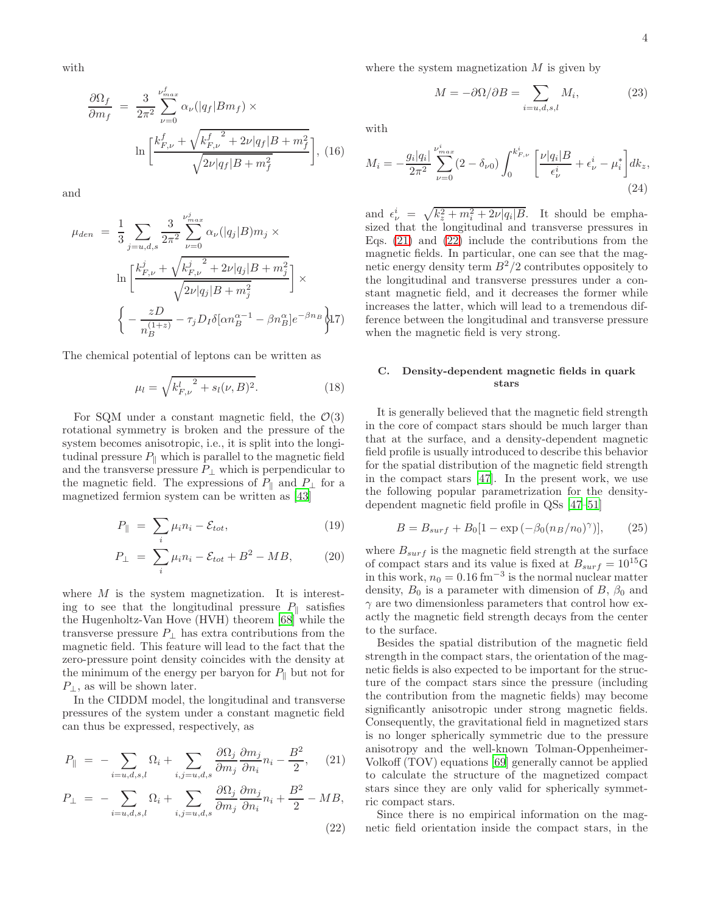with

$$
\frac{\partial \Omega_f}{\partial m_f} = \frac{3}{2\pi^2} \sum_{\nu=0}^{\nu_{max}^f} \alpha_{\nu} (|q_f|Bm_f) \times \ln\left[\frac{k_{F,\nu}^f + \sqrt{k_{F,\nu}^f}^2 + 2\nu|q_f|B + m_f^2}{\sqrt{2\nu|q_f|B + m_f^2}}\right], (16)
$$

and

$$
\mu_{den} = \frac{1}{3} \sum_{j=u,d,s} \frac{3}{2\pi^2} \sum_{\nu=0}^{\nu_{max}^j} \alpha_{\nu}(|q_j|B)m_j \times
$$

$$
\ln \left[ \frac{k_{F,\nu}^j + \sqrt{k_{F,\nu}^j}^2 + 2\nu|q_j|B + m_j^2}{\sqrt{2\nu|q_j|B + m_j^2}} \right] \times
$$

$$
\left\{ -\frac{zD}{n_B^{(1+z)}} - \tau_j D_I \delta[\alpha n_B^{\alpha-1} - \beta n_B^{\alpha}]e^{-\beta n_B} \right\} \tag{17}
$$

The chemical potential of leptons can be written as

$$
\mu_l = \sqrt{k_{F,\nu}^l^2 + s_l(\nu, B)^2}.
$$
 (18)

For SQM under a constant magnetic field, the  $\mathcal{O}(3)$ rotational symmetry is broken and the pressure of the system becomes anisotropic, i.e., it is split into the longitudinal pressure  $P_{\parallel}$  which is parallel to the magnetic field and the transverse pressure  $P_{\perp}$  which is perpendicular to the magnetic field. The expressions of  $P_{\parallel}$  and  $P_{\perp}$  for a magnetized fermion system can be written as [\[43\]](#page-8-11)

<span id="page-3-1"></span>
$$
P_{\parallel} = \sum_{i} \mu_i n_i - \mathcal{E}_{tot}, \qquad (19)
$$

$$
P_{\perp} = \sum_{i} \mu_i n_i - \mathcal{E}_{tot} + B^2 - MB, \qquad (20)
$$

where  $M$  is the system magnetization. It is interesting to see that the longitudinal pressure  $P_{\parallel}$  satisfies the Hugenholtz-Van Hove (HVH) theorem [\[68\]](#page-8-23) while the transverse pressure  $P_{\perp}$  has extra contributions from the magnetic field. This feature will lead to the fact that the zero-pressure point density coincides with the density at the minimum of the energy per baryon for  $P_{\parallel}$  but not for  $P_{\perp}$ , as will be shown later.

In the CIDDM model, the longitudinal and transverse pressures of the system under a constant magnetic field can thus be expressed, respectively, as

<span id="page-3-0"></span>
$$
P_{\parallel} = -\sum_{i=u,d,s,l} \Omega_i + \sum_{i,j=u,d,s} \frac{\partial \Omega_j}{\partial m_j} \frac{\partial m_j}{\partial n_i} n_i - \frac{B^2}{2}, \quad (21)
$$

$$
P_{\perp} = -\sum_{i=u,d,s,l} \Omega_i + \sum_{i,j=u,d,s} \frac{\partial \Omega_j}{\partial m_j} \frac{\partial m_j}{\partial n_i} n_i + \frac{B^2}{2} - MB,
$$
\n(22)

where the system magnetization  $M$  is given by

$$
M = -\partial\Omega/\partial B = \sum_{i=u,d,s,l} M_i,\tag{23}
$$

with

$$
M_{i} = -\frac{g_{i}|q_{i}|}{2\pi^{2}} \sum_{\nu=0}^{\nu_{max}^{i}} (2 - \delta_{\nu 0}) \int_{0}^{k_{F,\nu}^{i}} \left[ \frac{\nu|q_{i}|B}{\epsilon_{\nu}^{i}} + \epsilon_{\nu}^{i} - \mu_{i}^{*} \right] dk_{z},
$$
\n(24)

and  $\epsilon_{\nu}^{i} = \sqrt{k_{z}^{2} + m_{i}^{2} + 2\nu|q_{i}|B}$ . It should be emphasized that the longitudinal and transverse pressures in Eqs. [\(21\)](#page-3-0) and [\(22\)](#page-3-0) include the contributions from the magnetic fields. In particular, one can see that the magnetic energy density term  $B^2/2$  contributes oppositely to the longitudinal and transverse pressures under a constant magnetic field, and it decreases the former while increases the latter, which will lead to a tremendous difference between the longitudinal and transverse pressure when the magnetic field is very strong.

### C. Density-dependent magnetic fields in quark stars

It is generally believed that the magnetic field strength in the core of compact stars should be much larger than that at the surface, and a density-dependent magnetic field profile is usually introduced to describe this behavior for the spatial distribution of the magnetic field strength in the compact stars [\[47\]](#page-8-13). In the present work, we use the following popular parametrization for the densitydependent magnetic field profile in QSs [\[47](#page-8-13)[–51\]](#page-8-24)

<span id="page-3-2"></span>
$$
B = B_{surf} + B_0[1 - \exp(-\beta_0(n_B/n_0)^{\gamma})], \qquad (25)
$$

where  $B_{surf}$  is the magnetic field strength at the surface of compact stars and its value is fixed at  $B_{\text{surf}} = 10^{15}$ G in this work,  $n_0 = 0.16$  fm<sup>-3</sup> is the normal nuclear matter density,  $B_0$  is a parameter with dimension of B,  $\beta_0$  and  $\gamma$  are two dimensionless parameters that control how exactly the magnetic field strength decays from the center to the surface.

Besides the spatial distribution of the magnetic field strength in the compact stars, the orientation of the magnetic fields is also expected to be important for the structure of the compact stars since the pressure (including the contribution from the magnetic fields) may become significantly anisotropic under strong magnetic fields. Consequently, the gravitational field in magnetized stars is no longer spherically symmetric due to the pressure anisotropy and the well-known Tolman-Oppenheimer-Volkoff (TOV) equations [\[69\]](#page-8-25) generally cannot be applied to calculate the structure of the magnetized compact stars since they are only valid for spherically symmetric compact stars.

Since there is no empirical information on the magnetic field orientation inside the compact stars, in the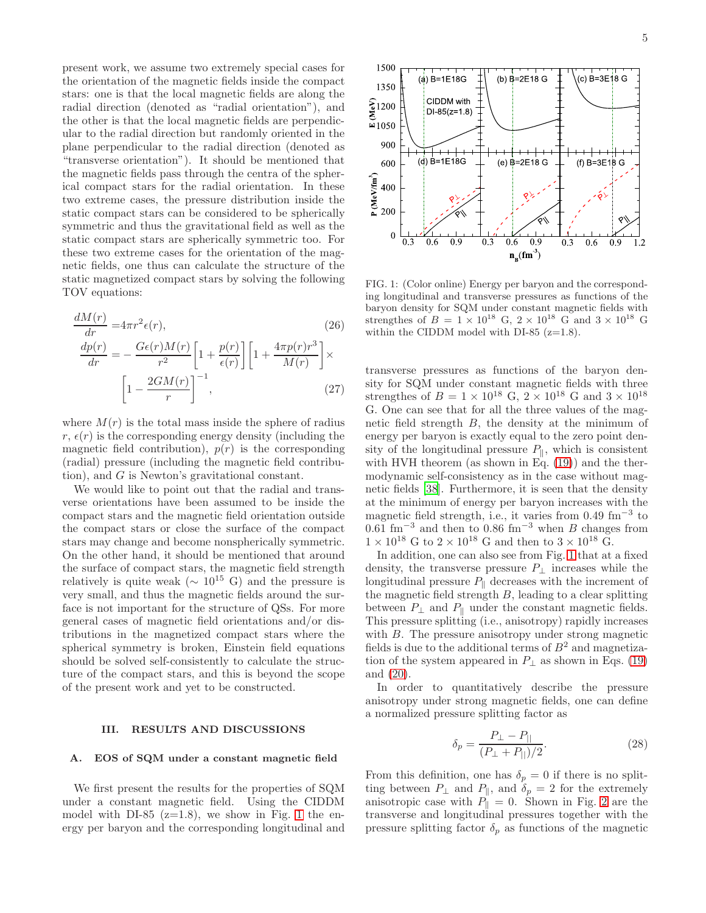present work, we assume two extremely special cases for the orientation of the magnetic fields inside the compact stars: one is that the local magnetic fields are along the radial direction (denoted as "radial orientation"), and the other is that the local magnetic fields are perpendicular to the radial direction but randomly oriented in the plane perpendicular to the radial direction (denoted as "transverse orientation"). It should be mentioned that the magnetic fields pass through the centra of the spherical compact stars for the radial orientation. In these two extreme cases, the pressure distribution inside the static compact stars can be considered to be spherically symmetric and thus the gravitational field as well as the static compact stars are spherically symmetric too. For these two extreme cases for the orientation of the magnetic fields, one thus can calculate the structure of the static magnetized compact stars by solving the following TOV equations:

$$
\frac{dM(r)}{dr} = 4\pi r^2 \epsilon(r),
$$
\n
$$
\frac{dp(r)}{dr} = -\frac{G\epsilon(r)M(r)}{r^2} \left[1 + \frac{p(r)}{\epsilon(r)}\right] \left[1 + \frac{4\pi p(r)r^3}{M(r)}\right] \times
$$
\n
$$
\left[1 - \frac{2GM(r)}{r}\right]^{-1},
$$
\n(27)

where  $M(r)$  is the total mass inside the sphere of radius  $r, \epsilon(r)$  is the corresponding energy density (including the magnetic field contribution),  $p(r)$  is the corresponding (radial) pressure (including the magnetic field contribution), and G is Newton's gravitational constant.

We would like to point out that the radial and transverse orientations have been assumed to be inside the compact stars and the magnetic field orientation outside the compact stars or close the surface of the compact stars may change and become nonspherically symmetric. On the other hand, it should be mentioned that around the surface of compact stars, the magnetic field strength relatively is quite weak ( $\sim 10^{15}$  G) and the pressure is very small, and thus the magnetic fields around the surface is not important for the structure of QSs. For more general cases of magnetic field orientations and/or distributions in the magnetized compact stars where the spherical symmetry is broken, Einstein field equations should be solved self-consistently to calculate the structure of the compact stars, and this is beyond the scope of the present work and yet to be constructed.

### <span id="page-4-0"></span>III. RESULTS AND DISCUSSIONS

### A. EOS of SQM under a constant magnetic field

We first present the results for the properties of SQM under a constant magnetic field. Using the CIDDM model with DI-85  $(z=1.8)$ , we show in Fig. [1](#page-4-1) the energy per baryon and the corresponding longitudinal and



<span id="page-4-1"></span>FIG. 1: (Color online) Energy per baryon and the corresponding longitudinal and transverse pressures as functions of the baryon density for SQM under constant magnetic fields with strengthes of  $B = 1 \times 10^{18}$  G,  $2 \times 10^{18}$  G and  $3 \times 10^{18}$  G within the CIDDM model with DI-85  $(z=1.8)$ .

transverse pressures as functions of the baryon density for SQM under constant magnetic fields with three strengthes of  $B = 1 \times 10^{18}$  G,  $2 \times 10^{18}$  G and  $3 \times 10^{18}$ G. One can see that for all the three values of the magnetic field strength B, the density at the minimum of energy per baryon is exactly equal to the zero point density of the longitudinal pressure  $P_{\parallel}$ , which is consistent with HVH theorem (as shown in Eq.  $(19)$ ) and the thermodynamic self-consistency as in the case without magnetic fields [\[38\]](#page-8-7). Furthermore, it is seen that the density at the minimum of energy per baryon increases with the magnetic field strength, i.e., it varies from 0.49 fm<sup>−</sup><sup>3</sup> to  $0.61 \text{ fm}^{-3}$  and then to  $0.86 \text{ fm}^{-3}$  when B changes from  $1 \times 10^{18}$  G to  $2 \times 10^{18}$  G and then to  $3 \times 10^{18}$  G.

In addition, one can also see from Fig. [1](#page-4-1) that at a fixed density, the transverse pressure  $P_{\perp}$  increases while the longitudinal pressure  $P_{\parallel}$  decreases with the increment of the magnetic field strength  $B$ , leading to a clear splitting between  $P_{\perp}$  and  $P_{\parallel}$  under the constant magnetic fields. This pressure splitting (i.e., anisotropy) rapidly increases with B. The pressure anisotropy under strong magnetic fields is due to the additional terms of  $B<sup>2</sup>$  and magnetization of the system appeared in  $P_{\perp}$  as shown in Eqs. [\(19\)](#page-3-1) and [\(20\)](#page-3-1).

In order to quantitatively describe the pressure anisotropy under strong magnetic fields, one can define a normalized pressure splitting factor as

$$
\delta_p = \frac{P_\perp - P_{||}}{(P_\perp + P_{||})/2}.\tag{28}
$$

From this definition, one has  $\delta_p = 0$  if there is no splitting between  $P_{\perp}$  and  $P_{\parallel}$ , and  $\delta_p = 2$  for the extremely anisotropic case with  $P_{\parallel} = 0$ . Shown in Fig. [2](#page-5-0) are the transverse and longitudinal pressures together with the pressure splitting factor  $\delta_p$  as functions of the magnetic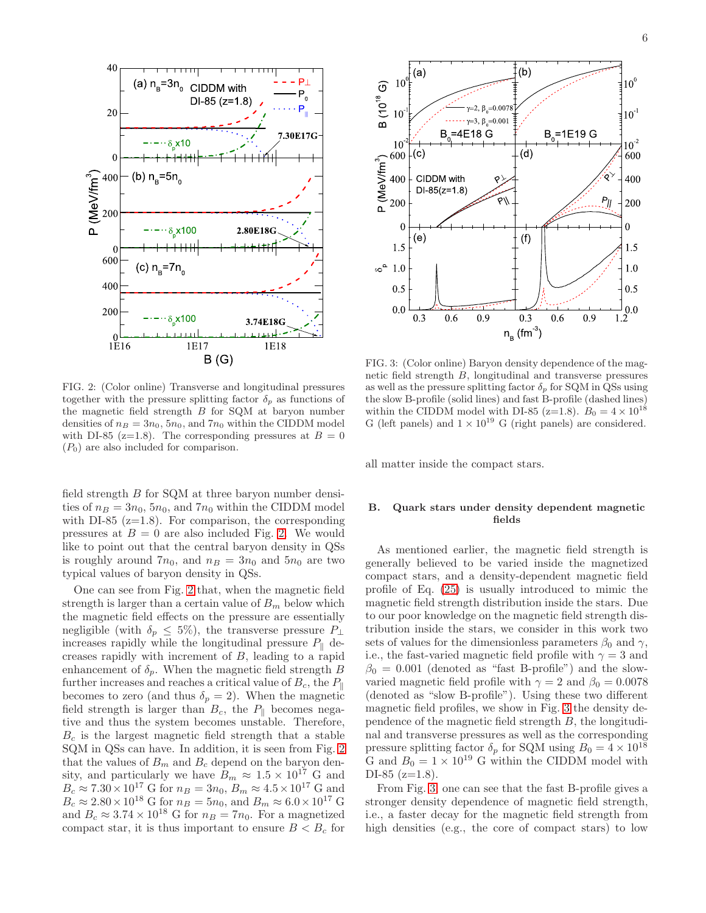

<span id="page-5-0"></span>FIG. 2: (Color online) Transverse and longitudinal pressures together with the pressure splitting factor  $\delta_p$  as functions of the magnetic field strength B for SQM at baryon number densities of  $n_B = 3n_0$ ,  $5n_0$ , and  $7n_0$  within the CIDDM model with DI-85 (z=1.8). The corresponding pressures at  $B = 0$  $(P_0)$  are also included for comparison.

field strength B for SQM at three baryon number densities of  $n_B = 3n_0$ ,  $5n_0$ , and  $7n_0$  within the CIDDM model with DI-85  $(z=1.8)$ . For comparison, the corresponding pressures at  $B = 0$  are also included Fig. [2.](#page-5-0) We would like to point out that the central baryon density in QSs is roughly around  $7n_0$ , and  $n_B = 3n_0$  and  $5n_0$  are two typical values of baryon density in QSs.

One can see from Fig. [2](#page-5-0) that, when the magnetic field strength is larger than a certain value of  $B<sub>m</sub>$  below which the magnetic field effects on the pressure are essentially negligible (with  $\delta_p \leq 5\%$ ), the transverse pressure  $P_{\perp}$ increases rapidly while the longitudinal pressure  $P_{\parallel}$  decreases rapidly with increment of B, leading to a rapid enhancement of  $\delta_p$ . When the magnetic field strength B further increases and reaches a critical value of  $B_c$ , the  $P_{\parallel}$ becomes to zero (and thus  $\delta_p = 2$ ). When the magnetic field strength is larger than  $B_c$ , the  $P_{\parallel}$  becomes negative and thus the system becomes unstable. Therefore,  $B<sub>c</sub>$  is the largest magnetic field strength that a stable SQM in QSs can have. In addition, it is seen from Fig. [2](#page-5-0) that the values of  $B_m$  and  $B_c$  depend on the baryon density, and particularly we have  $B_m \approx 1.5 \times 10^{17}$  G and  $B_c \approx 7.30 \times 10^{17}$  G for  $n_B = 3n_0$ ,  $B_m \approx 4.5 \times 10^{17}$  G and  $B_c \approx 2.80 \times 10^{18}$  G for  $n_B = 5n_0$ , and  $B_m \approx 6.0 \times 10^{17}$  G and  $B_c \approx 3.74 \times 10^{18}$  G for  $n_B = 7n_0$ . For a magnetized compact star, it is thus important to ensure  $B < B<sub>c</sub>$  for



<span id="page-5-1"></span>FIG. 3: (Color online) Baryon density dependence of the magnetic field strength B, longitudinal and transverse pressures as well as the pressure splitting factor  $\delta_p$  for SQM in QSs using the slow B-profile (solid lines) and fast B-profile (dashed lines) within the CIDDM model with DI-85 (z=1.8).  $B_0 = 4 \times 10^{18}$ G (left panels) and  $1 \times 10^{19}$  G (right panels) are considered.

all matter inside the compact stars.

### B. Quark stars under density dependent magnetic fields

As mentioned earlier, the magnetic field strength is generally believed to be varied inside the magnetized compact stars, and a density-dependent magnetic field profile of Eq. [\(25\)](#page-3-2) is usually introduced to mimic the magnetic field strength distribution inside the stars. Due to our poor knowledge on the magnetic field strength distribution inside the stars, we consider in this work two sets of values for the dimensionless parameters  $\beta_0$  and  $\gamma$ , i.e., the fast-varied magnetic field profile with  $\gamma = 3$  and  $\beta_0 = 0.001$  (denoted as "fast B-profile") and the slowvaried magnetic field profile with  $\gamma = 2$  and  $\beta_0 = 0.0078$ (denoted as "slow B-profile"). Using these two different magnetic field profiles, we show in Fig. [3](#page-5-1) the density dependence of the magnetic field strength B, the longitudinal and transverse pressures as well as the corresponding pressure splitting factor  $\delta_p$  for SQM using  $B_0 = 4 \times 10^{18}$ G and  $B_0 = 1 \times 10^{19}$  G within the CIDDM model with DI-85  $(z=1.8)$ .

From Fig. [3,](#page-5-1) one can see that the fast B-profile gives a stronger density dependence of magnetic field strength, i.e., a faster decay for the magnetic field strength from high densities (e.g., the core of compact stars) to low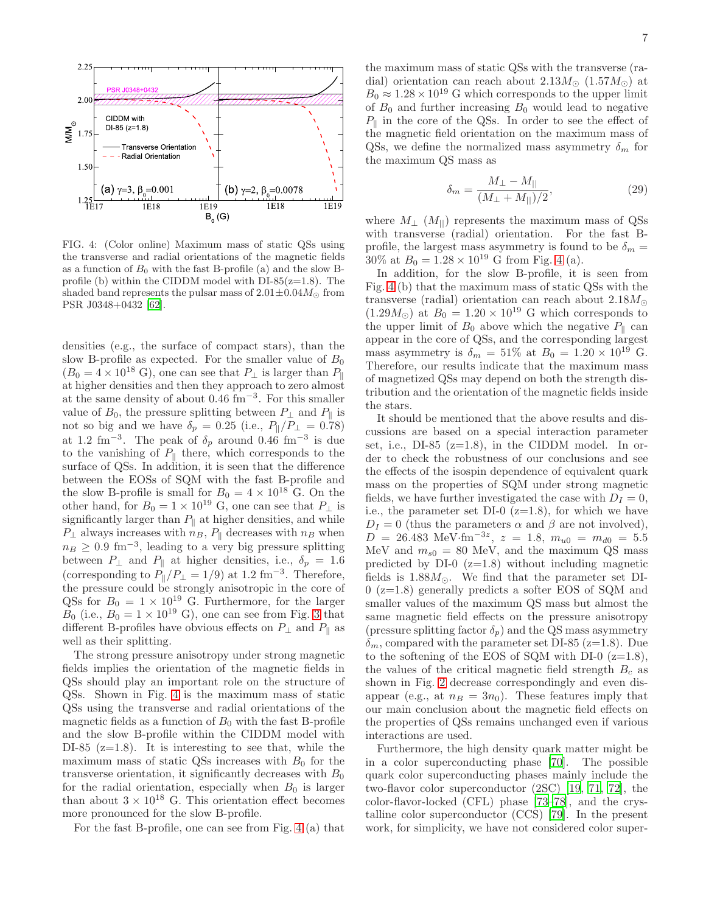

<span id="page-6-0"></span>FIG. 4: (Color online) Maximum mass of static QSs using the transverse and radial orientations of the magnetic fields as a function of  $B_0$  with the fast B-profile (a) and the slow Bprofile (b) within the CIDDM model with  $DI-85(z=1.8)$ . The shaded band represents the pulsar mass of  $2.01\pm0.04M_{\odot}$  from PSR J0348+0432 [\[62\]](#page-8-18).

densities (e.g., the surface of compact stars), than the slow B-profile as expected. For the smaller value of  $B_0$  $(B_0 = 4 \times 10^{18} \text{ G})$ , one can see that  $P_{\perp}$  is larger than  $P_{\parallel}$ at higher densities and then they approach to zero almost at the same density of about 0.46 fm<sup>−</sup><sup>3</sup> . For this smaller value of  $B_0$ , the pressure splitting between  $P_{\perp}$  and  $P_{\parallel}$  is not so big and we have  $\delta_p = 0.25$  (i.e.,  $P_{\parallel}/P_{\perp} = 0.78$ ) at 1.2 fm<sup>-3</sup>. The peak of  $\delta_p$  around 0.46 fm<sup>-3</sup> is due to the vanishing of  $P_{\parallel}$  there, which corresponds to the surface of QSs. In addition, it is seen that the difference between the EOSs of SQM with the fast B-profile and the slow B-profile is small for  $B_0 = 4 \times 10^{18}$  G. On the other hand, for  $B_0 = 1 \times 10^{19}$  G, one can see that  $P_{\perp}$  is significantly larger than  $P_{\parallel}$  at higher densities, and while  $P_{\perp}$  always increases with  $n_B$ ,  $P_{\parallel}$  decreases with  $n_B$  when  $n_B \geq 0.9$  fm<sup>-3</sup>, leading to a very big pressure splitting between  $P_{\perp}$  and  $P_{\parallel}$  at higher densities, i.e.,  $\delta_p = 1.6$ (corresponding to  $P_{\parallel}/P_{\perp} = 1/9$ ) at 1.2 fm<sup>-3</sup>. Therefore, the pressure could be strongly anisotropic in the core of QSs for  $B_0 = 1 \times 10^{19}$  G. Furthermore, for the larger  $B_0$  (i.e.,  $B_0 = 1 \times 10^{19}$  G), one can see from Fig. [3](#page-5-1) that different B-profiles have obvious effects on  $P_{\perp}$  and  $P_{\parallel}$  as well as their splitting.

The strong pressure anisotropy under strong magnetic fields implies the orientation of the magnetic fields in QSs should play an important role on the structure of QSs. Shown in Fig. [4](#page-6-0) is the maximum mass of static QSs using the transverse and radial orientations of the magnetic fields as a function of  $B_0$  with the fast B-profile and the slow B-profile within the CIDDM model with DI-85  $(z=1.8)$ . It is interesting to see that, while the maximum mass of static QSs increases with  $B_0$  for the transverse orientation, it significantly decreases with  $B_0$ for the radial orientation, especially when  $B_0$  is larger than about  $3\times 10^{18}$  G. This orientation effect becomes more pronounced for the slow B-profile.

For the fast B-profile, one can see from Fig. [4](#page-6-0) (a) that

the maximum mass of static QSs with the transverse (radial) orientation can reach about  $2.13M_{\odot}$  (1.57 $M_{\odot}$ ) at  $B_0 \approx 1.28 \times 10^{19}$  G which corresponds to the upper limit of  $B_0$  and further increasing  $B_0$  would lead to negative  $P_{\parallel}$  in the core of the QSs. In order to see the effect of the magnetic field orientation on the maximum mass of QSs, we define the normalized mass asymmetry  $\delta_m$  for the maximum QS mass as

$$
\delta_m = \frac{M_\perp - M_{||}}{(M_\perp + M_{||})/2},\tag{29}
$$

where  $M_{\perp}$  ( $M_{\parallel}$ ) represents the maximum mass of QSs with transverse (radial) orientation. For the fast Bprofile, the largest mass asymmetry is found to be  $\delta_m =$ 30% at  $B_0 = 1.28 \times 10^{19}$  G from Fig. [4](#page-6-0) (a).

In addition, for the slow B-profile, it is seen from Fig. [4](#page-6-0) (b) that the maximum mass of static QSs with the transverse (radial) orientation can reach about  $2.18M_{\odot}$  $(1.29M_{\odot})$  at  $B_0 = 1.20 \times 10^{19}$  G which corresponds to the upper limit of  $B_0$  above which the negative  $P_{\parallel}$  can appear in the core of QSs, and the corresponding largest mass asymmetry is  $\delta_m = 51\%$  at  $B_0 = 1.20 \times 10^{19}$  G. Therefore, our results indicate that the maximum mass of magnetized QSs may depend on both the strength distribution and the orientation of the magnetic fields inside the stars.

It should be mentioned that the above results and discussions are based on a special interaction parameter set, i.e., DI-85  $(z=1.8)$ , in the CIDDM model. In order to check the robustness of our conclusions and see the effects of the isospin dependence of equivalent quark mass on the properties of SQM under strong magnetic fields, we have further investigated the case with  $D<sub>I</sub> = 0$ , i.e., the parameter set DI-0  $(z=1.8)$ , for which we have  $D_I = 0$  (thus the parameters  $\alpha$  and  $\beta$  are not involved),  $D = 26.483 \text{ MeV} \cdot \text{fm}^{-3z}, z = 1.8, m_{u0} = m_{d0} = 5.5$ MeV and  $m_{s0} = 80$  MeV, and the maximum QS mass predicted by  $DI-0$  ( $z=1.8$ ) without including magnetic fields is  $1.88M_{\odot}$ . We find that the parameter set DI-0 (z=1.8) generally predicts a softer EOS of SQM and smaller values of the maximum QS mass but almost the same magnetic field effects on the pressure anisotropy (pressure splitting factor  $\delta_p$ ) and the QS mass asymmetry  $\delta_m$ , compared with the parameter set DI-85 (z=1.8). Due to the softening of the EOS of SQM with DI-0  $(z=1.8)$ , the values of the critical magnetic field strength  $B<sub>c</sub>$  as shown in Fig. [2](#page-5-0) decrease correspondingly and even disappear (e.g., at  $n_B = 3n_0$ ). These features imply that our main conclusion about the magnetic field effects on the properties of QSs remains unchanged even if various interactions are used.

Furthermore, the high density quark matter might be in a color superconducting phase [\[70](#page-8-26)]. The possible quark color superconducting phases mainly include the two-flavor color superconductor (2SC) [\[19,](#page-7-15) [71,](#page-8-27) [72\]](#page-8-28), the color-flavor-locked (CFL) phase [\[73](#page-8-29)[–78\]](#page-8-30), and the crystalline color superconductor (CCS) [\[79](#page-8-31)]. In the present work, for simplicity, we have not considered color super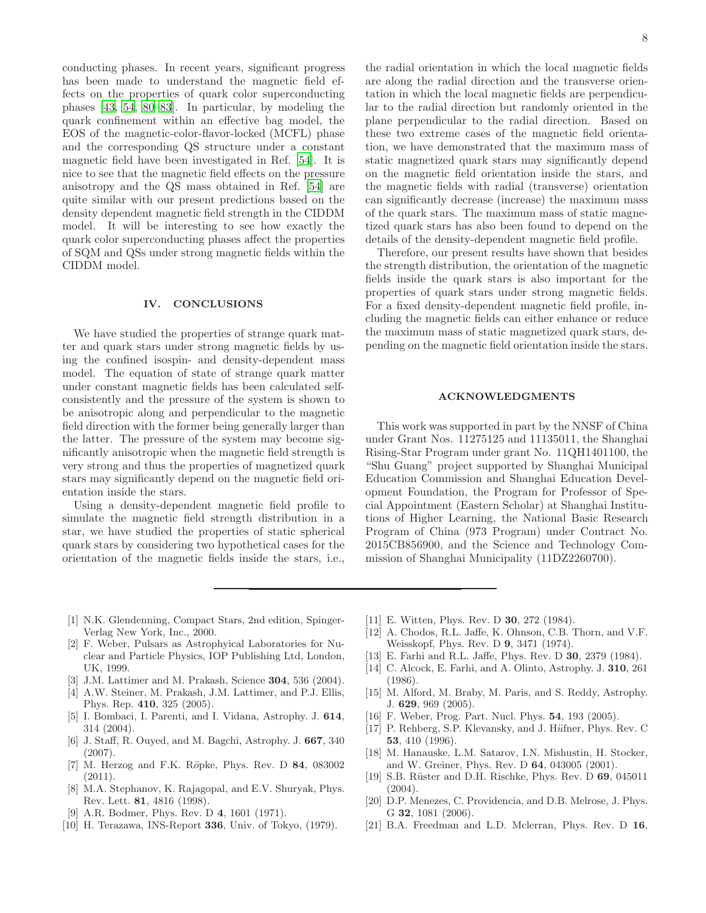conducting phases. In recent years, significant progress has been made to understand the magnetic field effects on the properties of quark color superconducting phases [\[43,](#page-8-11) [54,](#page-8-32) [80](#page-8-33)[–83\]](#page-8-34). In particular, by modeling the quark confinement within an effective bag model, the EOS of the magnetic-color-flavor-locked (MCFL) phase and the corresponding QS structure under a constant magnetic field have been investigated in Ref. [\[54](#page-8-32)]. It is nice to see that the magnetic field effects on the pressure anisotropy and the QS mass obtained in Ref. [\[54](#page-8-32)] are quite similar with our present predictions based on the density dependent magnetic field strength in the CIDDM model. It will be interesting to see how exactly the quark color superconducting phases affect the properties of SQM and QSs under strong magnetic fields within the CIDDM model.

### <span id="page-7-14"></span>IV. CONCLUSIONS

We have studied the properties of strange quark matter and quark stars under strong magnetic fields by using the confined isospin- and density-dependent mass model. The equation of state of strange quark matter under constant magnetic fields has been calculated selfconsistently and the pressure of the system is shown to be anisotropic along and perpendicular to the magnetic field direction with the former being generally larger than the latter. The pressure of the system may become significantly anisotropic when the magnetic field strength is very strong and thus the properties of magnetized quark stars may significantly depend on the magnetic field orientation inside the stars.

Using a density-dependent magnetic field profile to simulate the magnetic field strength distribution in a star, we have studied the properties of static spherical quark stars by considering two hypothetical cases for the orientation of the magnetic fields inside the stars, i.e.,

the radial orientation in which the local magnetic fields are along the radial direction and the transverse orientation in which the local magnetic fields are perpendicular to the radial direction but randomly oriented in the plane perpendicular to the radial direction. Based on these two extreme cases of the magnetic field orientation, we have demonstrated that the maximum mass of static magnetized quark stars may significantly depend on the magnetic field orientation inside the stars, and the magnetic fields with radial (transverse) orientation can significantly decrease (increase) the maximum mass of the quark stars. The maximum mass of static magnetized quark stars has also been found to depend on the details of the density-dependent magnetic field profile.

Therefore, our present results have shown that besides the strength distribution, the orientation of the magnetic fields inside the quark stars is also important for the properties of quark stars under strong magnetic fields. For a fixed density-dependent magnetic field profile, including the magnetic fields can either enhance or reduce the maximum mass of static magnetized quark stars, depending on the magnetic field orientation inside the stars.

#### ACKNOWLEDGMENTS

This work was supported in part by the NNSF of China under Grant Nos. 11275125 and 11135011, the Shanghai Rising-Star Program under grant No. 11QH1401100, the "Shu Guang" project supported by Shanghai Municipal Education Commission and Shanghai Education Development Foundation, the Program for Professor of Special Appointment (Eastern Scholar) at Shanghai Institutions of Higher Learning, the National Basic Research Program of China (973 Program) under Contract No. 2015CB856900, and the Science and Technology Commission of Shanghai Municipality (11DZ2260700).

- <span id="page-7-0"></span>[1] N.K. Glendenning, Compact Stars, 2nd edition, Spinger-Verlag New York, Inc., 2000.
- <span id="page-7-1"></span>[2] F. Weber, Pulsars as Astrophyical Laboratories for Nuclear and Particle Physics, IOP Publishing Ltd, London, UK, 1999.
- <span id="page-7-2"></span>[3] J.M. Lattimer and M. Prakash, Science **304**, 536 (2004).
- <span id="page-7-3"></span>[4] A.W. Steiner, M. Prakash, J.M. Lattimer, and P.J. Ellis, Phys. Rep. 410, 325 (2005).
- <span id="page-7-4"></span>[5] I. Bombaci, I. Parenti, and I. Vidana, Astrophy. J. 614, 314 (2004).
- [6] J. Staff, R. Ouyed, and M. Bagchi, Astrophy. J. 667, 340 (2007).
- <span id="page-7-5"></span>[7] M. Herzog and F.K. Röpke, Phys. Rev. D 84, 083002 (2011).
- <span id="page-7-6"></span>[8] M.A. Stephanov, K. Rajagopal, and E.V. Shuryak, Phys. Rev. Lett. 81, 4816 (1998).
- <span id="page-7-7"></span>[9] A.R. Bodmer, Phys. Rev. D 4, 1601 (1971).
- [10] H. Terazawa, INS-Report 336, Univ. of Tokyo, (1979).
- <span id="page-7-8"></span>[11] E. Witten, Phys. Rev. D 30, 272 (1984).
- <span id="page-7-9"></span>[12] A. Chodos, R.L. Jaffe, K. Ohnson, C.B. Thorn, and V.F. Weisskopf, Phys. Rev. D 9, 3471 (1974).
- [13] E. Farhi and R.L. Jaffe, Phys. Rev. D 30, 2379 (1984).
- [14] C. Alcock, E. Farhi, and A. Olinto, Astrophy. J. 310, 261 (1986).
- [15] M. Alford, M. Braby, M. Paris, and S. Reddy, Astrophy. J. 629, 969 (2005).
- <span id="page-7-10"></span>[16] F. Weber, Prog. Part. Nucl. Phys. 54, 193 (2005).
- <span id="page-7-11"></span>[17] P. Rehberg, S.P. Klevansky, and J. Hüfner, Phys. Rev. C 53, 410 (1996).
- [18] M. Hanauske, L.M. Satarov, I.N. Mishustin, H. Stocker, and W. Greiner, Phys. Rev. D 64, 043005 (2001).
- <span id="page-7-15"></span>[19] S.B. Rüster and D.H. Rischke, Phys. Rev. D 69, 045011  $(2004)$ .
- <span id="page-7-12"></span>[20] D.P. Menezes, C. Providencia, and D.B. Melrose, J. Phys. G 32, 1081 (2006).
- <span id="page-7-13"></span>[21] B.A. Freedman and L.D. Mclerran, Phys. Rev. D 16,